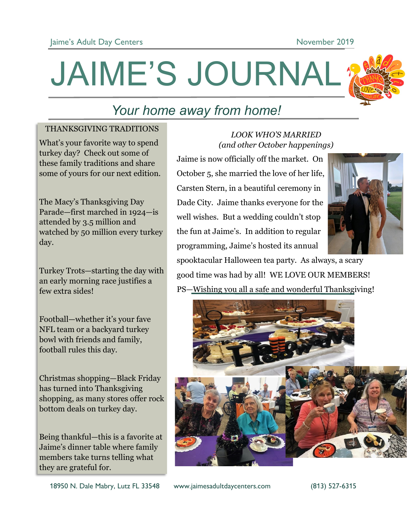JAIME'S JOURNAL



# *Your home away from home!*

### THANKSGIVING TRADITIONS

What's your favorite way to spend turkey day? Check out some of these family traditions and share some of yours for our next edition.

The Macy's Thanksgiving Day Parade—first marched in 1924—is attended by 3.5 million and watched by 50 million every turkey day.

Turkey Trots—starting the day with an early morning race justifies a few extra sides!

Football—whether it's your fave NFL team or a backyard turkey bowl with friends and family, football rules this day.

Christmas shopping—Black Friday has turned into Thanksgiving shopping, as many stores offer rock bottom deals on turkey day.

Being thankful—this is a favorite at Jaime's dinner table where family members take turns telling what they are grateful for.

## *LOOK WHO'S MARRIED (and other October happenings)*

Jaime is now officially off the market. On October 5, she married the love of her life, Carsten Stern, in a beautiful ceremony in Dade City. Jaime thanks everyone for the well wishes. But a wedding couldn't stop the fun at Jaime's. In addition to regular programming, Jaime's hosted its annual



spooktacular Halloween tea party. As always, a scary good time was had by all! WE LOVE OUR MEMBERS! PS—Wishing you all a safe and wonderful Thanksgiving!

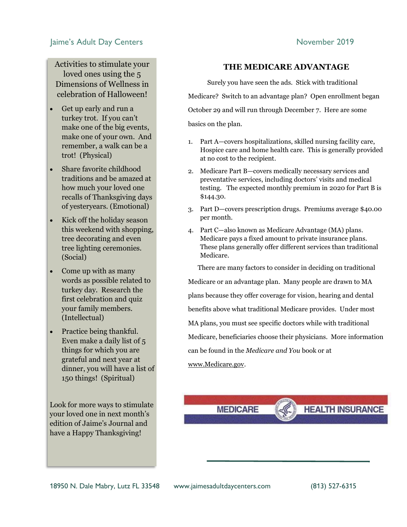#### Jaime's Adult Day Centers **November 2019**

Activities to stimulate your loved ones using the 5 Dimensions of Wellness in celebration of Halloween!

- Get up early and run a turkey trot. If you can't make one of the big events, make one of your own. And remember, a walk can be a trot! (Physical)
- Share favorite childhood traditions and be amazed at how much your loved one recalls of Thanksgiving days of yesteryears. (Emotional)
- Kick off the holiday season this weekend with shopping, tree decorating and even tree lighting ceremonies. (Social)
- Come up with as many words as possible related to turkey day. Research the first celebration and quiz your family members. (Intellectual)
- Practice being thankful. Even make a daily list of 5 things for which you are grateful and next year at dinner, you will have a list of 150 things! (Spiritual)

Look for more ways to stimulate your loved one in next month's edition of Jaime's Journal and have a Happy Thanksgiving!

#### **THE MEDICARE ADVANTAGE**

 Surely you have seen the ads. Stick with traditional Medicare? Switch to an advantage plan? Open enrollment began October 29 and will run through December 7. Here are some basics on the plan.

- 1. Part A—covers hospitalizations, skilled nursing facility care, Hospice care and home health care. This is generally provided at no cost to the recipient.
- 2. Medicare Part B—covers medically necessary services and preventative services, including doctors' visits and medical testing. The expected monthly premium in 2020 for Part B is \$144.30.
- 3. Part D—covers prescription drugs. Premiums average \$40.00 per month.
- 4. Part C—also known as Medicare Advantage (MA) plans. Medicare pays a fixed amount to private insurance plans. These plans generally offer different services than traditional Medicare.

 There are many factors to consider in deciding on traditional Medicare or an advantage plan. Many people are drawn to MA plans because they offer coverage for vision, hearing and dental benefits above what traditional Medicare provides. Under most MA plans, you must see specific doctors while with traditional Medicare, beneficiaries choose their physicians. More information can be found in the *Medicare and You* book or at www.Medicare.gov.

**MEDICARE** 

**HEALTH INSURANCE**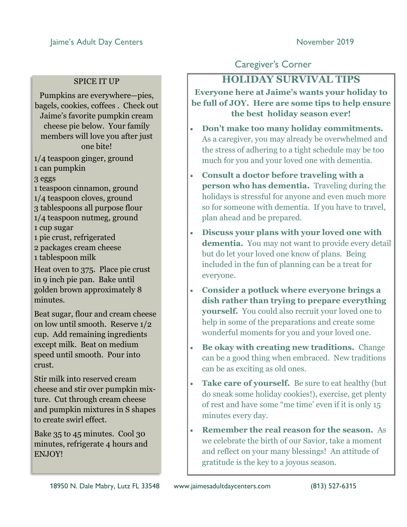### SPICE IT UP

Pumpkins are everywhere—pies, bagels, cookies, coffees . Check out Jaime's favorite pumpkin cream cheese pie below. Your family members will love you after just one bite!

1/4 teaspoon ginger, ground 1 can pumpkin

3 eggs

- 1 teaspoon cinnamon, ground 1/4 teaspoon cloves, ground 3 tablespoons all purpose flour 1/4 teaspoon nutmeg, ground 1 cup sugar 1 pie crust, refrigerated
- 2 packages cream cheese 1 tablespoon milk

Heat oven to 375. Place pie crust in 9 inch pie pan. Bake until golden brown approximately 8 minutes.

Beat sugar, flour and cream cheese on low until smooth. Reserve 1/2 cup. Add remaining ingredients except milk. Beat on medium speed until smooth. Pour into crust.

Stir milk into reserved cream cheese and stir over pumpkin mixture. Cut through cream cheese and pumpkin mixtures in S shapes to create swirl effect.

Bake 35 to 45 minutes. Cool 30 minutes, refrigerate 4 hours and ENJOY!

# Caregiver's Corner

# **HOLIDAY SURVIVAL TIPS**

**Everyone here at Jaime's wants your holiday to be full of JOY. Here are some tips to help ensure the best holiday season ever!**

- **Don't make too many holiday commitments.**  As a caregiver, you may already be overwhelmed and the stress of adhering to a tight schedule may be too much for you and your loved one with dementia.
- **Consult a doctor before traveling with a person who has dementia.** Traveling during the holidays is stressful for anyone and even much more so for someone with dementia. If you have to travel, plan ahead and be prepared.
- **Discuss your plans with your loved one with dementia.** You may not want to provide every detail but do let your loved one know of plans. Being included in the fun of planning can be a treat for everyone.
- **Consider a potluck where everyone brings a dish rather than trying to prepare everything yourself.** You could also recruit your loved one to help in some of the preparations and create some wonderful moments for you and your loved one.
- **Be okay with creating new traditions.** Change can be a good thing when embraced. New traditions can be as exciting as old ones.
- **Take care of yourself.** Be sure to eat healthy (but do sneak some holiday cookies!), exercise, get plenty of rest and have some "me time' even if it is only 15 minutes every day.
- **Remember the real reason for the season.** As we celebrate the birth of our Savior, take a moment and reflect on your many blessings! An attitude of gratitude is the key to a joyous season.